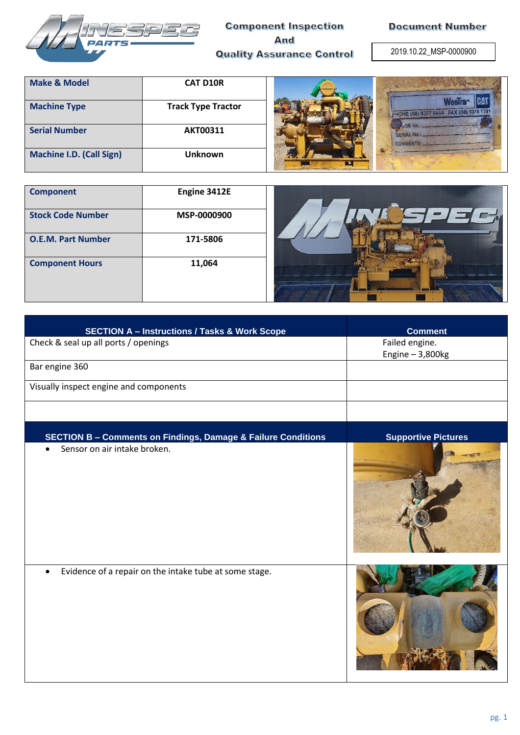

## **Component Inspection And Quality Assurance Control**

**Document Number** 

2019.10.22\_MSP-0000900

| <b>Make &amp; Model</b>         | <b>CAT D10R</b>           |                                        |
|---------------------------------|---------------------------|----------------------------------------|
| <b>Machine Type</b>             | <b>Track Type Tractor</b> | PHONE (08) 9377 9444 FAX (08) 9378 174 |
| <b>Serial Number</b>            | <b>AKT00311</b>           | <b>SERIAL No.</b><br><b>COMMENTS:</b>  |
| <b>Machine I.D. (Call Sign)</b> | <b>Unknown</b>            | <b>EXECUTE</b>                         |

| <b>Component</b>          | Engine 3412E |  |
|---------------------------|--------------|--|
| <b>Stock Code Number</b>  | MSP-0000900  |  |
| <b>O.E.M. Part Number</b> | 171-5806     |  |
| <b>Component Hours</b>    | 11,064       |  |



| <b>SECTION A - Instructions / Tasks &amp; Work Scope</b>                 | <b>Comment</b>                       |
|--------------------------------------------------------------------------|--------------------------------------|
| Check & seal up all ports / openings                                     | Failed engine.<br>Engine $-3,800$ kg |
| Bar engine 360                                                           |                                      |
| Visually inspect engine and components                                   |                                      |
|                                                                          |                                      |
| <b>SECTION B - Comments on Findings, Damage &amp; Failure Conditions</b> | <b>Supportive Pictures</b>           |
| Sensor on air intake broken.                                             |                                      |
| Evidence of a repair on the intake tube at some stage.                   |                                      |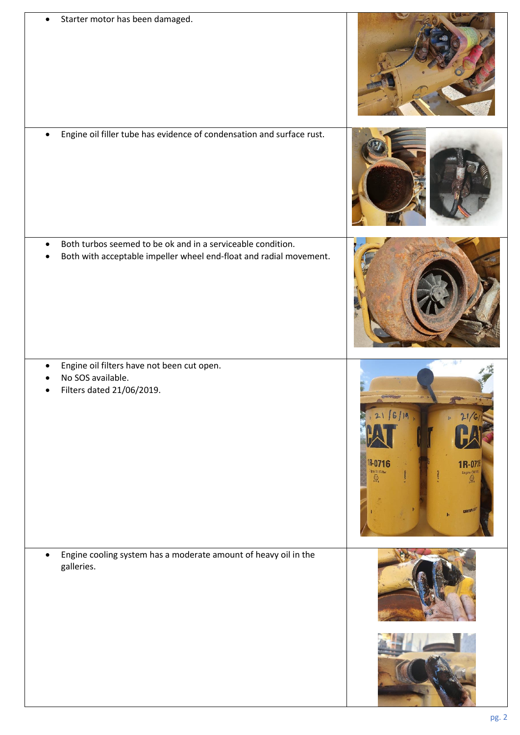| Starter motor has been damaged.                                                                                                   |                                                                                                     |
|-----------------------------------------------------------------------------------------------------------------------------------|-----------------------------------------------------------------------------------------------------|
| Engine oil filler tube has evidence of condensation and surface rust.                                                             |                                                                                                     |
| Both turbos seemed to be ok and in a serviceable condition.<br>Both with acceptable impeller wheel end-float and radial movement. |                                                                                                     |
| Engine oil filters have not been cut open.<br>No SOS available.<br>Filters dated 21/06/2019.                                      | 21/6/19<br>R.<br><b>IR-0716</b><br>1R-0716<br>Faire Dil Filter<br>Q<br>Engine Oil Filt<br>CATERALUR |
| Engine cooling system has a moderate amount of heavy oil in the<br>galleries.                                                     |                                                                                                     |
|                                                                                                                                   |                                                                                                     |